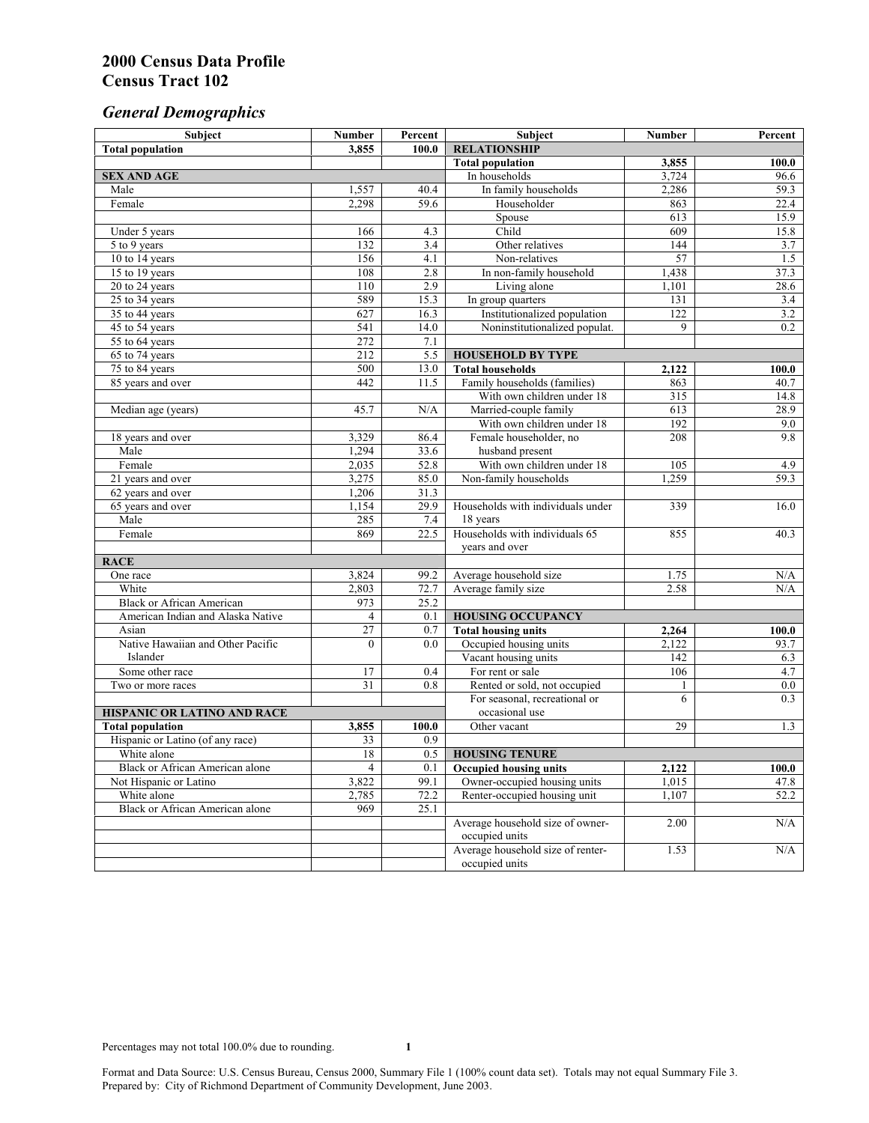# *General Demographics*

| Subject                           | <b>Number</b>           | Percent      | Subject                                                 | <b>Number</b>    | Percent      |
|-----------------------------------|-------------------------|--------------|---------------------------------------------------------|------------------|--------------|
| <b>Total population</b>           | 3,855                   | 100.0        | <b>RELATIONSHIP</b>                                     |                  |              |
|                                   |                         |              | <b>Total population</b>                                 | 3,855            | 100.0        |
| <b>SEX AND AGE</b>                |                         |              | In households                                           | 3,724            | 96.6         |
| Male                              | 1,557                   | 40.4         | In family households                                    | 2,286            | 59.3         |
| Female                            | 2,298                   | 59.6         | Householder                                             | 863              | 22.4         |
|                                   |                         |              | Spouse                                                  | 613              | 15.9         |
| Under 5 years                     | 166                     | 4.3          | Child                                                   | 609              | 15.8         |
| 5 to 9 years                      | 132                     | 3.4          | Other relatives                                         | 144              | 3.7          |
| 10 to 14 years                    | 156                     | 4.1          | Non-relatives                                           | 57               | 1.5          |
| 15 to 19 years                    | 108                     | 2.8          | In non-family household                                 | 1,438            | 37.3         |
| 20 to 24 years                    | 110                     | 2.9          | Living alone                                            | 1,101            | 28.6         |
| $25 \text{ to } 34$ years         | 589                     | 15.3         | In group quarters                                       | 131              | 3.4          |
| 35 to 44 years                    | 627                     | 16.3         | Institutionalized population                            | $\overline{122}$ | 3.2          |
| 45 to 54 years                    | 541                     | 14.0         | Noninstitutionalized populat.                           | 9                | 0.2          |
| 55 to 64 years                    | 272<br>$\overline{212}$ | 7.1          |                                                         |                  |              |
| 65 to 74 years                    |                         | 5.5          | <b>HOUSEHOLD BY TYPE</b>                                |                  |              |
| 75 to 84 years                    | 500<br>442              | 13.0<br>11.5 | <b>Total households</b><br>Family households (families) | 2,122<br>863     | 100.0        |
| 85 years and over                 |                         |              | With own children under 18                              | $\overline{315}$ | 40.7<br>14.8 |
|                                   | 45.7                    | N/A          | Married-couple family                                   | 613              | 28.9         |
| Median age (years)                |                         |              | With own children under 18                              | 192              | 9.0          |
| 18 years and over                 | 3,329                   | 86.4         | Female householder, no                                  | 208              | 9.8          |
| Male                              | 1,294                   | 33.6         | husband present                                         |                  |              |
| Female                            | 2,035                   | 52.8         | With own children under 18                              | 105              | 4.9          |
| 21 years and over                 | 3,275                   | 85.0         | Non-family households                                   | 1,259            | 59.3         |
| 62 years and over                 | 1,206                   | 31.3         |                                                         |                  |              |
| 65 years and over                 | 1,154                   | 29.9         | Households with individuals under                       | 339              | 16.0         |
| Male                              | 285                     | 7.4          | 18 years                                                |                  |              |
| Female                            | 869                     | 22.5         | Households with individuals 65                          | 855              | 40.3         |
|                                   |                         |              | years and over                                          |                  |              |
| <b>RACE</b>                       |                         |              |                                                         |                  |              |
| One race                          | 3,824                   | 99.2         | Average household size                                  | 1.75             | $\rm N/A$    |
| White                             | 2,803                   | 72.7         | Average family size                                     | 2.58             | N/A          |
| <b>Black or African American</b>  | 973                     | 25.2         |                                                         |                  |              |
| American Indian and Alaska Native | $\overline{4}$          | 0.1          | <b>HOUSING OCCUPANCY</b>                                |                  |              |
| Asian                             | 27                      | 0.7          | <b>Total housing units</b>                              | 2,264            | 100.0        |
| Native Hawaiian and Other Pacific | $\theta$                | 0.0          | Occupied housing units                                  | 2,122            | 93.7         |
| Islander                          |                         |              | Vacant housing units                                    | 142              | 6.3          |
| Some other race                   | 17                      | 0.4          | For rent or sale                                        | 106              | 4.7          |
| Two or more races                 | $\overline{31}$         | 0.8          | Rented or sold, not occupied                            | 1                | $0.0\,$      |
|                                   |                         |              | For seasonal, recreational or                           | 6                | 0.3          |
| HISPANIC OR LATINO AND RACE       |                         |              | occasional use                                          |                  |              |
| <b>Total population</b>           | 3,855                   | 100.0        | Other vacant                                            | 29               | 1.3          |
| Hispanic or Latino (of any race)  | 33                      | 0.9          |                                                         |                  |              |
| White alone                       | 18                      | 0.5          | <b>HOUSING TENURE</b>                                   |                  |              |
| Black or African American alone   | 4                       | 0.1          | <b>Occupied housing units</b>                           | 2,122            | 100.0        |
| Not Hispanic or Latino            | 3,822                   | 99.1         | Owner-occupied housing units                            | 1,015            | 47.8         |
| White alone                       | 2,785                   | 72.2         | Renter-occupied housing unit                            | 1,107            | 52.2         |
| Black or African American alone   | 969                     | 25.1         |                                                         |                  |              |
|                                   |                         |              | Average household size of owner-                        | 2.00             | N/A          |
|                                   |                         |              | occupied units                                          |                  |              |
|                                   |                         |              | Average household size of renter-                       | 1.53             | N/A          |
|                                   |                         |              | occupied units                                          |                  |              |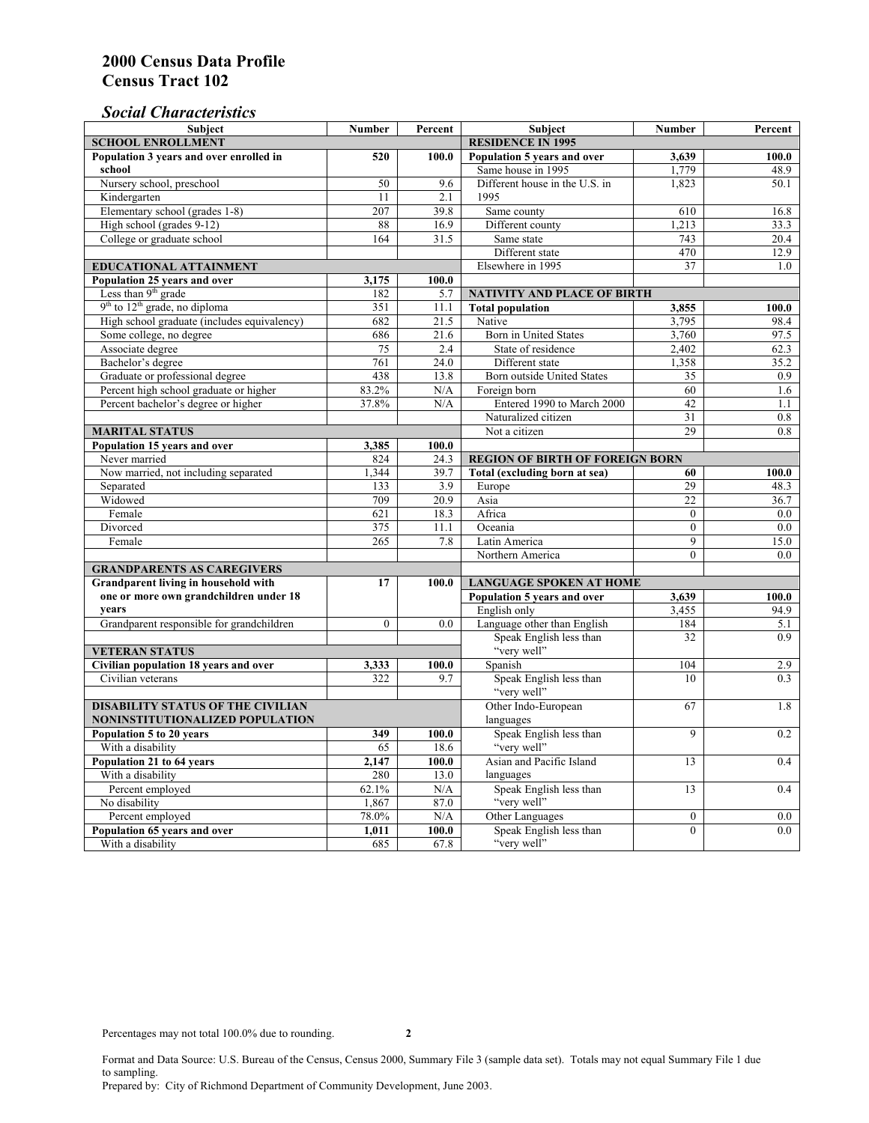## *Social Characteristics*

| <b>Subject</b>                                             | <b>Number</b>            | Percent       | <b>Subject</b>                                   | <b>Number</b> | Percent |
|------------------------------------------------------------|--------------------------|---------------|--------------------------------------------------|---------------|---------|
| <b>SCHOOL ENROLLMENT</b>                                   | <b>RESIDENCE IN 1995</b> |               |                                                  |               |         |
| Population 3 years and over enrolled in                    | 520                      | 100.0         | Population 5 years and over                      | 3,639         | 100.0   |
| school                                                     |                          |               | Same house in 1995                               | 1,779         | 48.9    |
| Nursery school, preschool                                  | 50                       | 9.6           | Different house in the U.S. in                   | 1.823         | 50.1    |
| Kindergarten                                               | 11                       | 2.1           | 1995                                             |               |         |
| Elementary school (grades 1-8)                             | 207                      | 39.8          | Same county                                      | 610           | 16.8    |
| High school (grades 9-12)                                  | 88                       | 16.9          | Different county                                 | 1,213         | 33.3    |
| College or graduate school                                 | 164                      | 31.5          | Same state                                       | 743           | 20.4    |
|                                                            |                          |               | Different state                                  | 470           | 12.9    |
| <b>EDUCATIONAL ATTAINMENT</b>                              |                          |               | Elsewhere in 1995                                | 37            | 1.0     |
| Population 25 years and over                               | 3,175                    | 100.0         |                                                  |               |         |
| Less than 9 <sup>th</sup> grade                            | 182                      | 5.7           | NATIVITY AND PLACE OF BIRTH                      |               |         |
| $9th$ to $12th$ grade, no diploma                          | 351                      | 11.1          | <b>Total population</b>                          | 3,855         | 100.0   |
| High school graduate (includes equivalency)                | 682                      | 21.5          | Native                                           | 3.795         | 98.4    |
| Some college, no degree                                    | 686                      | 21.6          | <b>Born</b> in United States                     | 3,760         | 97.5    |
| Associate degree                                           | 75                       | 2.4           | State of residence                               | 2,402         | 62.3    |
| Bachelor's degree                                          | 761                      | 24.0          | Different state                                  | 1,358         | 35.2    |
| Graduate or professional degree                            | 438                      | 13.8          | Born outside United States                       | 35            | 0.9     |
| Percent high school graduate or higher                     | 83.2%                    | N/A           | Foreign born                                     | 60            | 1.6     |
| Percent bachelor's degree or higher                        | 37.8%                    | N/A           | Entered 1990 to March 2000                       | 42            | 1.1     |
|                                                            |                          |               | Naturalized citizen                              | 31            | 0.8     |
| <b>MARITAL STATUS</b>                                      |                          |               | Not a citizen                                    | 29            | 0.8     |
| Population 15 years and over                               | 3,385                    | 100.0         |                                                  |               |         |
| Never married                                              | 824                      | 24.3          | <b>REGION OF BIRTH OF FOREIGN BORN</b>           |               |         |
| Now married, not including separated                       | 1.344                    | 39.7          | Total (excluding born at sea)                    | 60            | 100.0   |
| Separated                                                  | 133                      | 3.9           | Europe                                           | 29            | 48.3    |
| Widowed                                                    | 709                      | 20.9          | Asia                                             | 22            | 36.7    |
| Female                                                     | 621                      | 18.3          | Africa                                           | $\theta$      | 0.0     |
| Divorced                                                   | 375                      | 11.1          | Oceania                                          | $\Omega$      | 0.0     |
| Female                                                     | 265                      | 7.8           | Latin America                                    | 9             | 15.0    |
|                                                            |                          |               | Northern America                                 | $\theta$      | 0.0     |
| <b>GRANDPARENTS AS CAREGIVERS</b>                          |                          |               |                                                  |               |         |
| Grandparent living in household with                       | 17                       | 100.0         | <b>LANGUAGE SPOKEN AT HOME</b><br>3,639<br>100.0 |               |         |
| one or more own grandchildren under 18                     |                          |               | Population 5 years and over                      |               |         |
| years                                                      | $\theta$                 |               | English only                                     | 3,455<br>184  | 94.9    |
| Grandparent responsible for grandchildren                  |                          | 0.0           | Language other than English                      |               | 5.1     |
|                                                            |                          |               | Speak English less than<br>"very well"           | 32            | 0.9     |
| <b>VETERAN STATUS</b>                                      |                          |               | Spanish                                          | 104           | 2.9     |
| Civilian population 18 years and over<br>Civilian veterans | 3,333<br>322             | 100.0<br>9.7  |                                                  | 10            | 0.3     |
|                                                            |                          |               | Speak English less than<br>"very well"           |               |         |
| <b>DISABILITY STATUS OF THE CIVILIAN</b>                   |                          |               | Other Indo-European                              | 67            | 1.8     |
| NONINSTITUTIONALIZED POPULATION                            | languages                |               |                                                  |               |         |
| Population 5 to 20 years                                   | Speak English less than  | 9             | 0.2                                              |               |         |
| With a disability                                          | 349<br>65                | 100.0<br>18.6 | "very well"                                      |               |         |
| Population 21 to 64 years                                  | 2.147                    | 100.0         | Asian and Pacific Island                         | 13            | 0.4     |
| With a disability                                          | 280                      | 13.0          | languages                                        |               |         |
| Percent employed                                           | 62.1%                    | N/A           | Speak English less than                          | 13            | 0.4     |
| No disability                                              | 1,867                    | 87.0          | "very well"                                      |               |         |
| Percent employed                                           | 78.0%                    | N/A           | Other Languages                                  | $\mathbf{0}$  | $0.0\,$ |
| Population 65 years and over                               | 1,011                    | 100.0         | Speak English less than                          | $\mathbf{0}$  | 0.0     |
| With a disability                                          | 685                      | 67.8          | "very well"                                      |               |         |

Format and Data Source: U.S. Bureau of the Census, Census 2000, Summary File 3 (sample data set). Totals may not equal Summary File 1 due to sampling.

Prepared by: City of Richmond Department of Community Development, June 2003.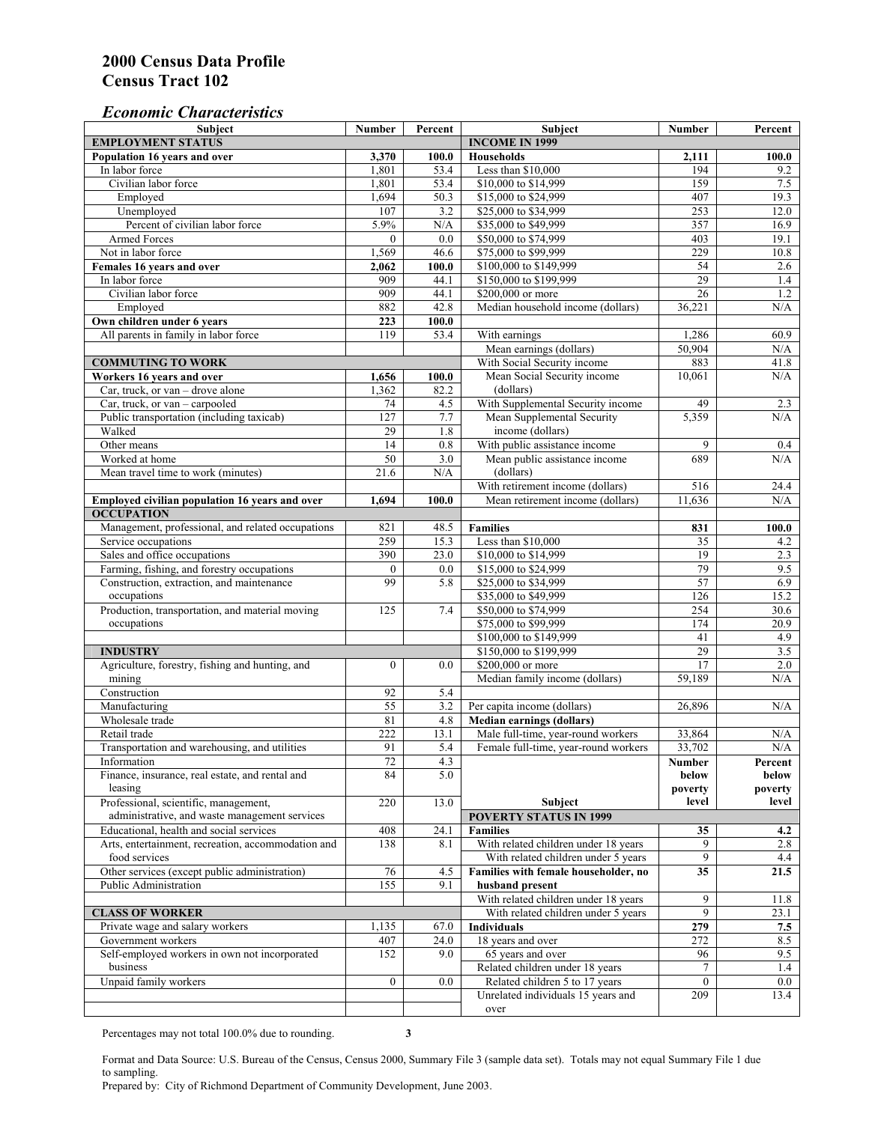## *Economic Characteristics*

| <b>Subject</b>                                     | <b>Number</b>    | Percent               | <b>Subject</b>                                                              | <b>Number</b>   | Percent          |
|----------------------------------------------------|------------------|-----------------------|-----------------------------------------------------------------------------|-----------------|------------------|
| <b>EMPLOYMENT STATUS</b>                           |                  | <b>INCOME IN 1999</b> |                                                                             |                 |                  |
| Population 16 years and over                       | 3,370            | 100.0                 | <b>Households</b>                                                           | 2,111           | 100.0            |
| In labor force                                     | 1,801            | 53.4                  | Less than \$10,000                                                          | 194             | 9.2              |
| Civilian labor force                               | 1,801            | 53.4                  | \$10,000 to \$14,999                                                        | 159             | 7.5              |
| Employed                                           | 1,694            | 50.3                  | \$15,000 to \$24,999                                                        | 407             | 19.3             |
| Unemployed                                         | 107              | 3.2                   | \$25,000 to \$34,999                                                        | 253             | 12.0             |
| Percent of civilian labor force                    | 5.9%             | $\rm N/A$             | \$35,000 to \$49,999                                                        | 357             | 16.9             |
| Armed Forces                                       | $\theta$         | 0.0                   | \$50,000 to \$74,999                                                        | 403             | 19.1             |
| Not in labor force                                 | 1,569            | 46.6                  | \$75,000 to \$99,999                                                        | 229             | 10.8             |
| Females 16 years and over                          | 2,062            | 100.0                 | \$100,000 to \$149,999                                                      | 54              | 2.6              |
| In labor force                                     | 909              | 44.1                  | \$150,000 to \$199,999                                                      | 29              | 1.4              |
| Civilian labor force                               | 909              | 44.1                  | \$200,000 or more                                                           | 26              | 1.2              |
| Employed                                           | 882              | 42.8                  | Median household income (dollars)                                           | 36,221          | N/A              |
| Own children under 6 years                         | 223              | 100.0                 |                                                                             |                 |                  |
| All parents in family in labor force               | 119              | 53.4                  | With earnings                                                               | 1,286           | 60.9             |
|                                                    |                  |                       | Mean earnings (dollars)                                                     | 50,904          | N/A              |
| <b>COMMUTING TO WORK</b>                           |                  |                       | With Social Security income                                                 | 883             | 41.8             |
| Workers 16 years and over                          | 1,656            | 100.0                 | Mean Social Security income                                                 | 10,061          | N/A              |
| Car, truck, or van - drove alone                   | 1,362            | 82.2                  | (dollars)                                                                   |                 |                  |
| Car, truck, or van – carpooled                     | 74               | 4.5                   | With Supplemental Security income                                           | 49              | 2.3              |
| Public transportation (including taxicab)          | 127              | 7.7                   | Mean Supplemental Security                                                  | 5,359           | N/A              |
| Walked                                             | 29               | 1.8                   | income (dollars)                                                            |                 |                  |
| Other means                                        | 14               | 0.8                   | With public assistance income                                               | 9               | 0.4              |
| Worked at home                                     | 50               | 3.0                   | Mean public assistance income                                               | 689             | N/A              |
| Mean travel time to work (minutes)                 | 21.6             | N/A                   | (dollars)                                                                   |                 |                  |
|                                                    |                  |                       | With retirement income (dollars)                                            | 516             | 24.4             |
| Employed civilian population 16 years and over     | 1,694            | 100.0                 | Mean retirement income (dollars)                                            | 11,636          | N/A              |
| <b>OCCUPATION</b>                                  |                  |                       |                                                                             |                 |                  |
| Management, professional, and related occupations  | 821              | 48.5                  | <b>Families</b>                                                             | 831             | 100.0            |
| Service occupations                                | 259              | 15.3                  | Less than \$10,000                                                          | 35              | 4.2              |
| Sales and office occupations                       | 390              | 23.0                  | \$10,000 to \$14,999                                                        | 19              | 2.3              |
| Farming, fishing, and forestry occupations         | $\boldsymbol{0}$ | 0.0                   | \$15,000 to \$24,999                                                        | 79              | 9.5              |
| Construction, extraction, and maintenance          | 99               | 5.8                   | \$25,000 to \$34,999                                                        | 57              | 6.9              |
| occupations                                        |                  |                       | \$35,000 to \$49,999                                                        | 126             | 15.2             |
| Production, transportation, and material moving    | 125              | 7.4                   | \$50,000 to \$74,999                                                        | 254             | 30.6             |
| occupations                                        |                  |                       | \$75,000 to \$99,999                                                        | 174             | 20.9             |
|                                                    |                  |                       | \$100,000 to \$149,999                                                      | 41              | 4.9              |
| <b>INDUSTRY</b>                                    |                  |                       | \$150,000 to \$199,999                                                      | 29              | 3.5              |
| Agriculture, forestry, fishing and hunting, and    | $\boldsymbol{0}$ | 0.0                   | \$200,000 or more                                                           | $\overline{17}$ | 2.0              |
| mining                                             |                  |                       | Median family income (dollars)                                              | 59,189          | N/A              |
| Construction                                       | 92               | 5.4                   |                                                                             |                 |                  |
| Manufacturing                                      | 55               | 3.2                   | Per capita income (dollars)                                                 | 26,896          | N/A              |
| Wholesale trade                                    | 81               | 4.8                   | <b>Median earnings (dollars)</b>                                            |                 |                  |
| Retail trade                                       | 222              | 13.1                  | Male full-time, year-round workers                                          | 33,864          | N/A              |
| Transportation and warehousing, and utilities      | 91               | 5.4                   | Female full-time, year-round workers                                        | 33,702          | N/A              |
| Information                                        |                  |                       |                                                                             |                 |                  |
| Finance, insurance, real estate, and rental and    | 72<br>84         | 4.3<br>5.0            |                                                                             | Number<br>below | Percent<br>below |
| leasing                                            |                  |                       |                                                                             | poverty         | poverty          |
| Professional, scientific, management,              | 220              | 13.0                  | Subject                                                                     | level           | ${\bf level}$    |
| administrative, and waste management services      |                  |                       | <b>POVERTY STATUS IN 1999</b>                                               |                 |                  |
| Educational, health and social services            | 408              | 24.1                  | <b>Families</b>                                                             | 35              | 4.2              |
| Arts, entertainment, recreation, accommodation and | 138              | 8.1                   | With related children under 18 years                                        | 9               | 2.8              |
| food services                                      |                  |                       | With related children under 5 years                                         | 9               | 4.4              |
| Other services (except public administration)      | 76               | 4.5                   | Families with female householder, no                                        |                 |                  |
| Public Administration                              | 155              | 9.1                   | husband present                                                             | 35              | 21.5             |
|                                                    |                  |                       |                                                                             |                 |                  |
|                                                    |                  |                       | With related children under 18 years<br>With related children under 5 years | 9<br>9          | 11.8             |
| <b>CLASS OF WORKER</b>                             |                  |                       |                                                                             |                 | 23.1             |
| Private wage and salary workers                    | 1,135            | 67.0                  | Individuals                                                                 | 279             | 7.5              |
| Government workers                                 | 407              | 24.0                  | 18 years and over                                                           | 272             | 8.5              |
| Self-employed workers in own not incorporated      | 152              | 9.0                   | 65 years and over                                                           | 96              | 9.5              |
| business                                           |                  |                       | Related children under 18 years                                             | $\tau$          | 1.4              |
| Unpaid family workers                              | $\mathbf{0}$     | 0.0                   | Related children 5 to 17 years                                              | $\mathbf{0}$    | $0.0\,$          |
|                                                    |                  |                       | Unrelated individuals 15 years and                                          | 209             | 13.4             |
|                                                    |                  |                       | over                                                                        |                 |                  |

Percentages may not total 100.0% due to rounding. **3**

Format and Data Source: U.S. Bureau of the Census, Census 2000, Summary File 3 (sample data set). Totals may not equal Summary File 1 due to sampling.

Prepared by: City of Richmond Department of Community Development, June 2003.